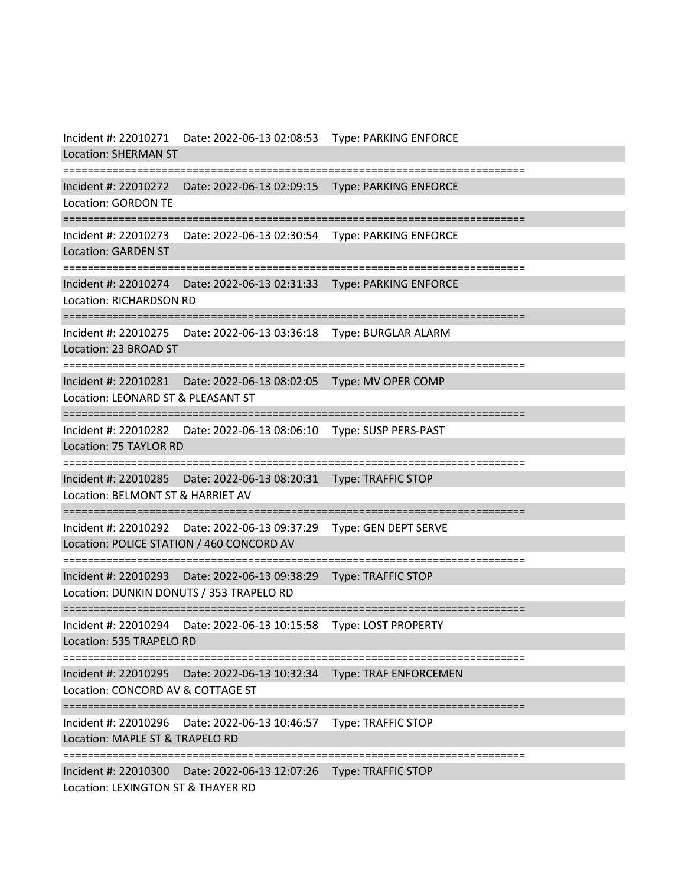Incident #: 22010271 Date: 2022-06-13 02:08:53 Type: PARKING ENFORCE Location: SHERMAN ST =========================================================================== Incident #: 22010272 Date: 2022-06-13 02:09:15 Type: PARKING ENFORCE Location: GORDON TE =========================================================================== Incident #: 22010273 Date: 2022-06-13 02:30:54 Type: PARKING ENFORCE Location: GARDEN ST =========================================================================== Incident #: 22010274 Date: 2022-06-13 02:31:33 Type: PARKING ENFORCE Location: RICHARDSON RD =========================================================================== Incident #: 22010275 Date: 2022-06-13 03:36:18 Type: BURGLAR ALARM Location: 23 BROAD ST =========================================================================== Incident #: 22010281 Date: 2022-06-13 08:02:05 Type: MV OPER COMP Location: LEONARD ST & PLEASANT ST =========================================================================== Incident #: 22010282 Date: 2022-06-13 08:06:10 Type: SUSP PERS-PAST Location: 75 TAYLOR RD =========================================================================== Incident #: 22010285 Date: 2022-06-13 08:20:31 Type: TRAFFIC STOP Location: BELMONT ST & HARRIET AV =========================================================================== Incident #: 22010292 Date: 2022-06-13 09:37:29 Type: GEN DEPT SERVE Location: POLICE STATION / 460 CONCORD AV =========================================================================== Incident #: 22010293 Date: 2022-06-13 09:38:29 Type: TRAFFIC STOP Location: DUNKIN DONUTS / 353 TRAPELO RD =========================================================================== Incident #: 22010294 Date: 2022-06-13 10:15:58 Type: LOST PROPERTY Location: 535 TRAPELO RD =========================================================================== Incident #: 22010295 Date: 2022-06-13 10:32:34 Type: TRAF ENFORCEMEN Location: CONCORD AV & COTTAGE ST =========================================================================== Incident #: 22010296 Date: 2022-06-13 10:46:57 Type: TRAFFIC STOP Location: MAPLE ST & TRAPELO RD =========================================================================== Incident #: 22010300 Date: 2022-06-13 12:07:26 Type: TRAFFIC STOP Location: LEXINGTON ST & THAYER RD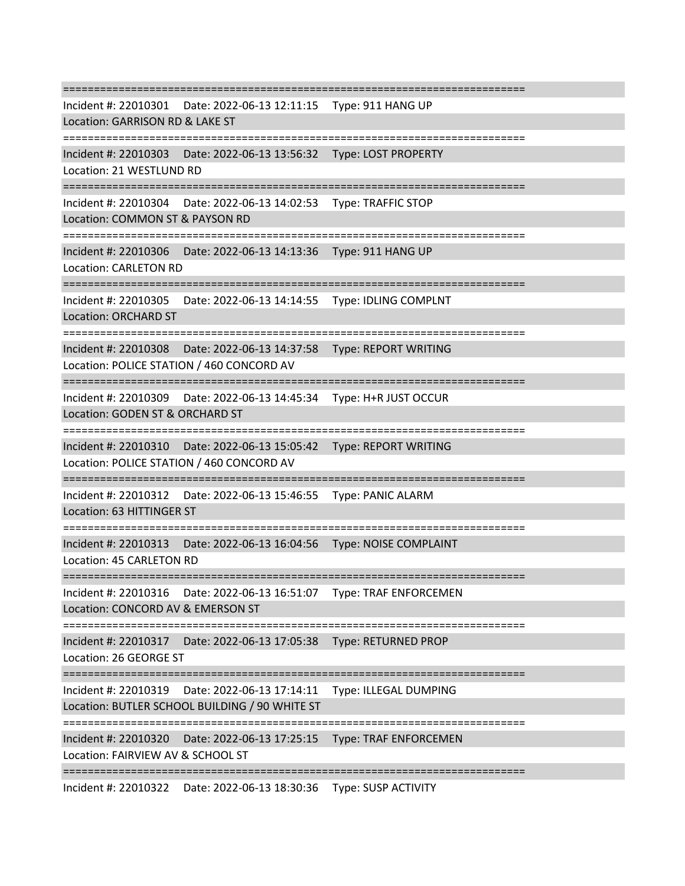=========================================================================== Incident #: 22010301 Date: 2022-06-13 12:11:15 Type: 911 HANG UP Location: GARRISON RD & LAKE ST =========================================================================== Incident #: 22010303 Date: 2022-06-13 13:56:32 Type: LOST PROPERTY Location: 21 WESTLUND RD =========================================================================== Incident #: 22010304 Date: 2022-06-13 14:02:53 Type: TRAFFIC STOP Location: COMMON ST & PAYSON RD =========================================================================== Incident #: 22010306 Date: 2022-06-13 14:13:36 Type: 911 HANG UP Location: CARLETON RD =========================================================================== Incident #: 22010305 Date: 2022-06-13 14:14:55 Type: IDLING COMPLNT Location: ORCHARD ST =========================================================================== Incident #: 22010308 Date: 2022-06-13 14:37:58 Type: REPORT WRITING Location: POLICE STATION / 460 CONCORD AV =========================================================================== Incident #: 22010309 Date: 2022-06-13 14:45:34 Type: H+R JUST OCCUR Location: GODEN ST & ORCHARD ST =========================================================================== Incident #: 22010310 Date: 2022-06-13 15:05:42 Type: REPORT WRITING Location: POLICE STATION / 460 CONCORD AV =========================================================================== Incident #: 22010312 Date: 2022-06-13 15:46:55 Type: PANIC ALARM Location: 63 HITTINGER ST =========================================================================== Incident #: 22010313 Date: 2022-06-13 16:04:56 Type: NOISE COMPLAINT Location: 45 CARLETON RD =========================================================================== Incident #: 22010316 Date: 2022-06-13 16:51:07 Type: TRAF ENFORCEMEN Location: CONCORD AV & EMERSON ST =========================================================================== Incident #: 22010317 Date: 2022-06-13 17:05:38 Type: RETURNED PROP Location: 26 GEORGE ST =========================================================================== Incident #: 22010319 Date: 2022-06-13 17:14:11 Type: ILLEGAL DUMPING Location: BUTLER SCHOOL BUILDING / 90 WHITE ST =========================================================================== Incident #: 22010320 Date: 2022-06-13 17:25:15 Type: TRAF ENFORCEMEN Location: FAIRVIEW AV & SCHOOL ST ===========================================================================

Incident #: 22010322 Date: 2022-06-13 18:30:36 Type: SUSP ACTIVITY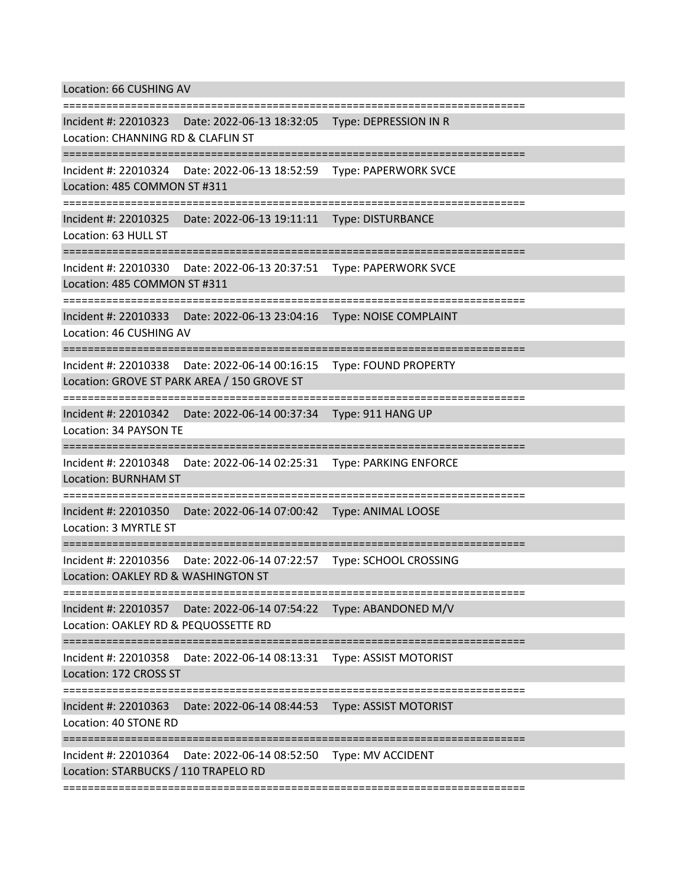Location: 66 CUSHING AV

=========================================================================== Incident #: 22010323 Date: 2022-06-13 18:32:05 Type: DEPRESSION IN R Location: CHANNING RD & CLAFLIN ST =========================================================================== Incident #: 22010324 Date: 2022-06-13 18:52:59 Type: PAPERWORK SVCE Location: 485 COMMON ST #311 =========================================================================== Incident #: 22010325 Date: 2022-06-13 19:11:11 Type: DISTURBANCE Location: 63 HULL ST =========================================================================== Incident #: 22010330 Date: 2022-06-13 20:37:51 Type: PAPERWORK SVCE Location: 485 COMMON ST #311 =========================================================================== Incident #: 22010333 Date: 2022-06-13 23:04:16 Type: NOISE COMPLAINT Location: 46 CUSHING AV =========================================================================== Incident #: 22010338 Date: 2022-06-14 00:16:15 Type: FOUND PROPERTY Location: GROVE ST PARK AREA / 150 GROVE ST =========================================================================== Incident #: 22010342 Date: 2022-06-14 00:37:34 Type: 911 HANG UP Location: 34 PAYSON TE =========================================================================== Incident #: 22010348 Date: 2022-06-14 02:25:31 Type: PARKING ENFORCE Location: BURNHAM ST =========================================================================== Incident #: 22010350 Date: 2022-06-14 07:00:42 Type: ANIMAL LOOSE Location: 3 MYRTLE ST =========================================================================== Incident #: 22010356 Date: 2022-06-14 07:22:57 Type: SCHOOL CROSSING Location: OAKLEY RD & WASHINGTON ST =========================================================================== Incident #: 22010357 Date: 2022-06-14 07:54:22 Type: ABANDONED M/V Location: OAKLEY RD & PEQUOSSETTE RD =========================================================================== Incident #: 22010358 Date: 2022-06-14 08:13:31 Type: ASSIST MOTORIST Location: 172 CROSS ST =========================================================================== Incident #: 22010363 Date: 2022-06-14 08:44:53 Type: ASSIST MOTORIST Location: 40 STONE RD =========================================================================== Incident #: 22010364 Date: 2022-06-14 08:52:50 Type: MV ACCIDENT Location: STARBUCKS / 110 TRAPELO RD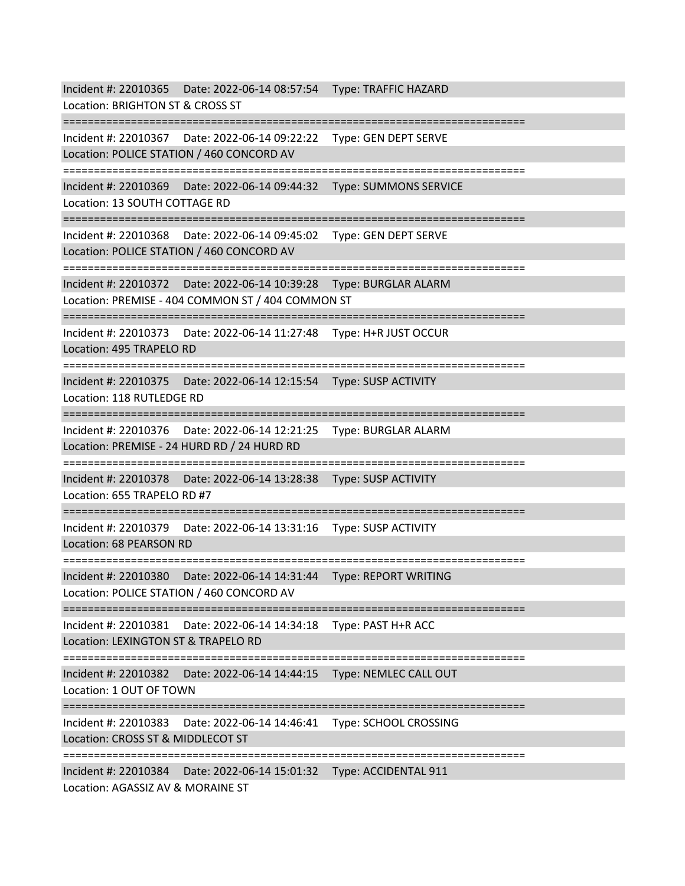Incident #: 22010365 Date: 2022-06-14 08:57:54 Type: TRAFFIC HAZARD Location: BRIGHTON ST & CROSS ST =========================================================================== Incident #: 22010367 Date: 2022-06-14 09:22:22 Type: GEN DEPT SERVE Location: POLICE STATION / 460 CONCORD AV =========================================================================== Incident #: 22010369 Date: 2022-06-14 09:44:32 Type: SUMMONS SERVICE Location: 13 SOUTH COTTAGE RD =========================================================================== Incident #: 22010368 Date: 2022-06-14 09:45:02 Type: GEN DEPT SERVE Location: POLICE STATION / 460 CONCORD AV =========================================================================== Incident #: 22010372 Date: 2022-06-14 10:39:28 Type: BURGLAR ALARM Location: PREMISE - 404 COMMON ST / 404 COMMON ST =========================================================================== Incident #: 22010373 Date: 2022-06-14 11:27:48 Type: H+R JUST OCCUR Location: 495 TRAPELO RD =========================================================================== Incident #: 22010375 Date: 2022-06-14 12:15:54 Type: SUSP ACTIVITY Location: 118 RUTLEDGE RD =========================================================================== Incident #: 22010376 Date: 2022-06-14 12:21:25 Type: BURGLAR ALARM Location: PREMISE - 24 HURD RD / 24 HURD RD =========================================================================== Incident #: 22010378 Date: 2022-06-14 13:28:38 Type: SUSP ACTIVITY Location: 655 TRAPELO RD #7 =========================================================================== Incident #: 22010379 Date: 2022-06-14 13:31:16 Type: SUSP ACTIVITY Location: 68 PEARSON RD =========================================================================== Incident #: 22010380 Date: 2022-06-14 14:31:44 Type: REPORT WRITING Location: POLICE STATION / 460 CONCORD AV =========================================================================== Incident #: 22010381 Date: 2022-06-14 14:34:18 Type: PAST H+R ACC Location: LEXINGTON ST & TRAPELO RD =========================================================================== Incident #: 22010382 Date: 2022-06-14 14:44:15 Type: NEMLEC CALL OUT Location: 1 OUT OF TOWN =========================================================================== Incident #: 22010383 Date: 2022-06-14 14:46:41 Type: SCHOOL CROSSING Location: CROSS ST & MIDDLECOT ST =========================================================================== Incident #: 22010384 Date: 2022-06-14 15:01:32 Type: ACCIDENTAL 911 Location: AGASSIZ AV & MORAINE ST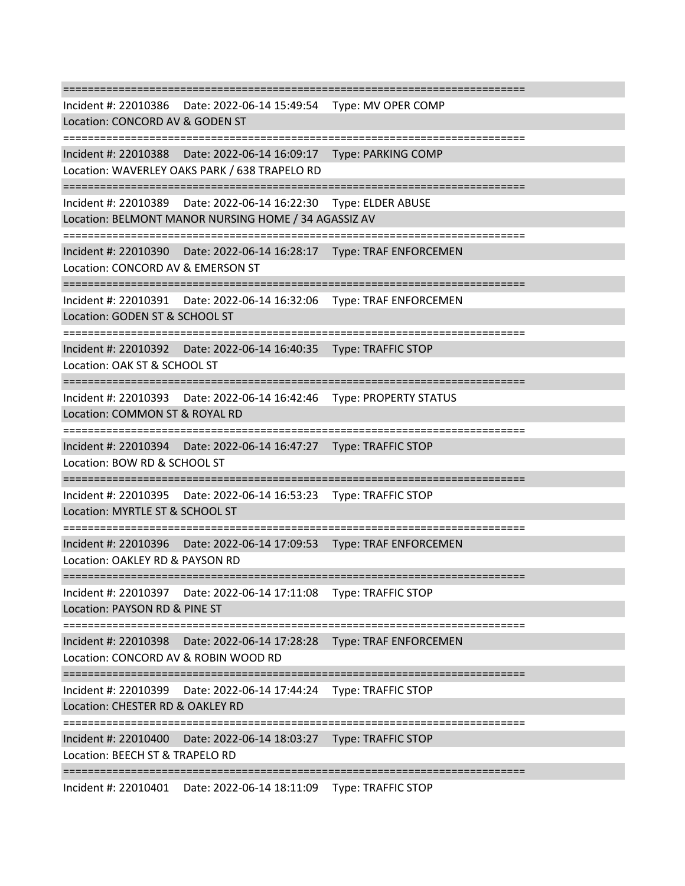=========================================================================== Incident #: 22010386 Date: 2022-06-14 15:49:54 Type: MV OPER COMP Location: CONCORD AV & GODEN ST =========================================================================== Incident #: 22010388 Date: 2022-06-14 16:09:17 Type: PARKING COMP Location: WAVERLEY OAKS PARK / 638 TRAPELO RD =========================================================================== Incident #: 22010389 Date: 2022-06-14 16:22:30 Type: ELDER ABUSE Location: BELMONT MANOR NURSING HOME / 34 AGASSIZ AV =========================================================================== Incident #: 22010390 Date: 2022-06-14 16:28:17 Type: TRAF ENFORCEMEN Location: CONCORD AV & EMERSON ST =========================================================================== Incident #: 22010391 Date: 2022-06-14 16:32:06 Type: TRAF ENFORCEMEN Location: GODEN ST & SCHOOL ST =========================================================================== Incident #: 22010392 Date: 2022-06-14 16:40:35 Type: TRAFFIC STOP Location: OAK ST & SCHOOL ST =========================================================================== Incident #: 22010393 Date: 2022-06-14 16:42:46 Type: PROPERTY STATUS Location: COMMON ST & ROYAL RD =========================================================================== Incident #: 22010394 Date: 2022-06-14 16:47:27 Type: TRAFFIC STOP Location: BOW RD & SCHOOL ST =========================================================================== Incident #: 22010395 Date: 2022-06-14 16:53:23 Type: TRAFFIC STOP Location: MYRTLE ST & SCHOOL ST =========================================================================== Incident #: 22010396 Date: 2022-06-14 17:09:53 Type: TRAF ENFORCEMEN Location: OAKLEY RD & PAYSON RD =========================================================================== Incident #: 22010397 Date: 2022-06-14 17:11:08 Type: TRAFFIC STOP Location: PAYSON RD & PINE ST =========================================================================== Incident #: 22010398 Date: 2022-06-14 17:28:28 Type: TRAF ENFORCEMEN Location: CONCORD AV & ROBIN WOOD RD =========================================================================== Incident #: 22010399 Date: 2022-06-14 17:44:24 Type: TRAFFIC STOP Location: CHESTER RD & OAKLEY RD =========================================================================== Incident #: 22010400 Date: 2022-06-14 18:03:27 Type: TRAFFIC STOP Location: BEECH ST & TRAPELO RD ===========================================================================

Incident #: 22010401 Date: 2022-06-14 18:11:09 Type: TRAFFIC STOP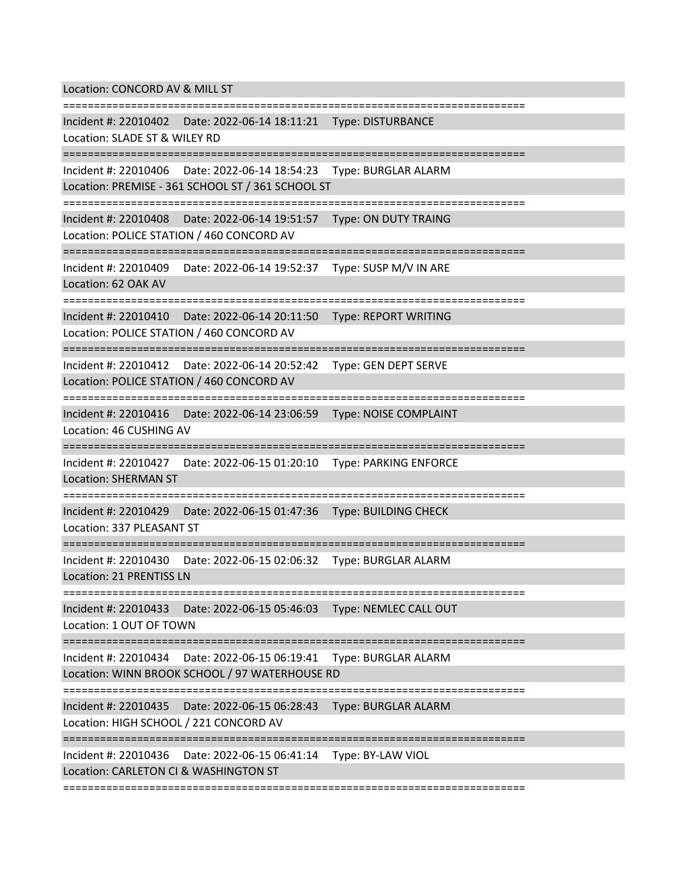Location: CONCORD AV & MILL ST

=========================================================================== Incident #: 22010402 Date: 2022-06-14 18:11:21 Type: DISTURBANCE Location: SLADE ST & WILEY RD =========================================================================== Incident #: 22010406 Date: 2022-06-14 18:54:23 Type: BURGLAR ALARM Location: PREMISE - 361 SCHOOL ST / 361 SCHOOL ST =========================================================================== Incident #: 22010408 Date: 2022-06-14 19:51:57 Type: ON DUTY TRAING Location: POLICE STATION / 460 CONCORD AV =========================================================================== Incident #: 22010409 Date: 2022-06-14 19:52:37 Type: SUSP M/V IN ARE Location: 62 OAK AV =========================================================================== Incident #: 22010410 Date: 2022-06-14 20:11:50 Type: REPORT WRITING Location: POLICE STATION / 460 CONCORD AV =========================================================================== Incident #: 22010412 Date: 2022-06-14 20:52:42 Type: GEN DEPT SERVE Location: POLICE STATION / 460 CONCORD AV =========================================================================== Incident #: 22010416 Date: 2022-06-14 23:06:59 Type: NOISE COMPLAINT Location: 46 CUSHING AV =========================================================================== Incident #: 22010427 Date: 2022-06-15 01:20:10 Type: PARKING ENFORCE Location: SHERMAN ST ======================== Incident #: 22010429 Date: 2022-06-15 01:47:36 Type: BUILDING CHECK Location: 337 PLEASANT ST =========================================================================== Incident #: 22010430 Date: 2022-06-15 02:06:32 Type: BURGLAR ALARM Location: 21 PRENTISS LN =========================================================================== Incident #: 22010433 Date: 2022-06-15 05:46:03 Type: NEMLEC CALL OUT Location: 1 OUT OF TOWN =========================================================================== Incident #: 22010434 Date: 2022-06-15 06:19:41 Type: BURGLAR ALARM Location: WINN BROOK SCHOOL / 97 WATERHOUSE RD =========================================================================== Incident #: 22010435 Date: 2022-06-15 06:28:43 Type: BURGLAR ALARM Location: HIGH SCHOOL / 221 CONCORD AV =========================================================================== Incident #: 22010436 Date: 2022-06-15 06:41:14 Type: BY-LAW VIOL Location: CARLETON CI & WASHINGTON ST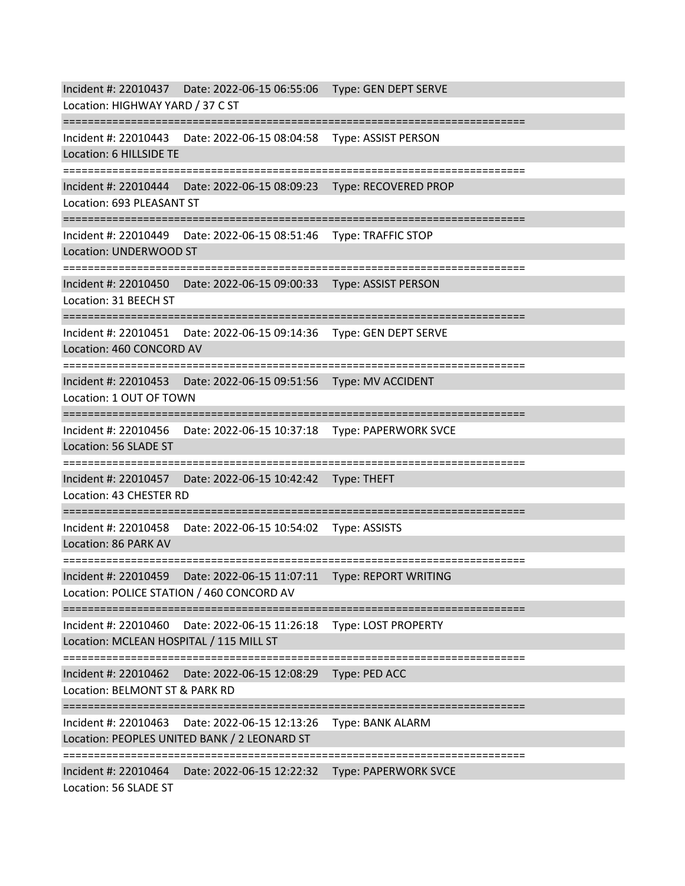Incident #: 22010437 Date: 2022-06-15 06:55:06 Type: GEN DEPT SERVE Location: HIGHWAY YARD / 37 C ST =========================================================================== Incident #: 22010443 Date: 2022-06-15 08:04:58 Type: ASSIST PERSON Location: 6 HILLSIDE TE =========================================================================== Incident #: 22010444 Date: 2022-06-15 08:09:23 Type: RECOVERED PROP Location: 693 PLEASANT ST =========================================================================== Incident #: 22010449 Date: 2022-06-15 08:51:46 Type: TRAFFIC STOP Location: UNDERWOOD ST =========================================================================== Incident #: 22010450 Date: 2022-06-15 09:00:33 Type: ASSIST PERSON Location: 31 BEECH ST =========================================================================== Incident #: 22010451 Date: 2022-06-15 09:14:36 Type: GEN DEPT SERVE Location: 460 CONCORD AV =========================================================================== Incident #: 22010453 Date: 2022-06-15 09:51:56 Type: MV ACCIDENT Location: 1 OUT OF TOWN =========================================================================== Incident #: 22010456 Date: 2022-06-15 10:37:18 Type: PAPERWORK SVCE Location: 56 SLADE ST =========================================================================== Incident #: 22010457 Date: 2022-06-15 10:42:42 Type: THEFT Location: 43 CHESTER RD =========================================================================== Incident #: 22010458 Date: 2022-06-15 10:54:02 Type: ASSISTS Location: 86 PARK AV =========================================================================== Incident #: 22010459 Date: 2022-06-15 11:07:11 Type: REPORT WRITING Location: POLICE STATION / 460 CONCORD AV =========================================================================== Incident #: 22010460 Date: 2022-06-15 11:26:18 Type: LOST PROPERTY Location: MCLEAN HOSPITAL / 115 MILL ST =========================================================================== Incident #: 22010462 Date: 2022-06-15 12:08:29 Type: PED ACC Location: BELMONT ST & PARK RD =========================================================================== Incident #: 22010463 Date: 2022-06-15 12:13:26 Type: BANK ALARM Location: PEOPLES UNITED BANK / 2 LEONARD ST =========================== Incident #: 22010464 Date: 2022-06-15 12:22:32 Type: PAPERWORK SVCE Location: 56 SLADE ST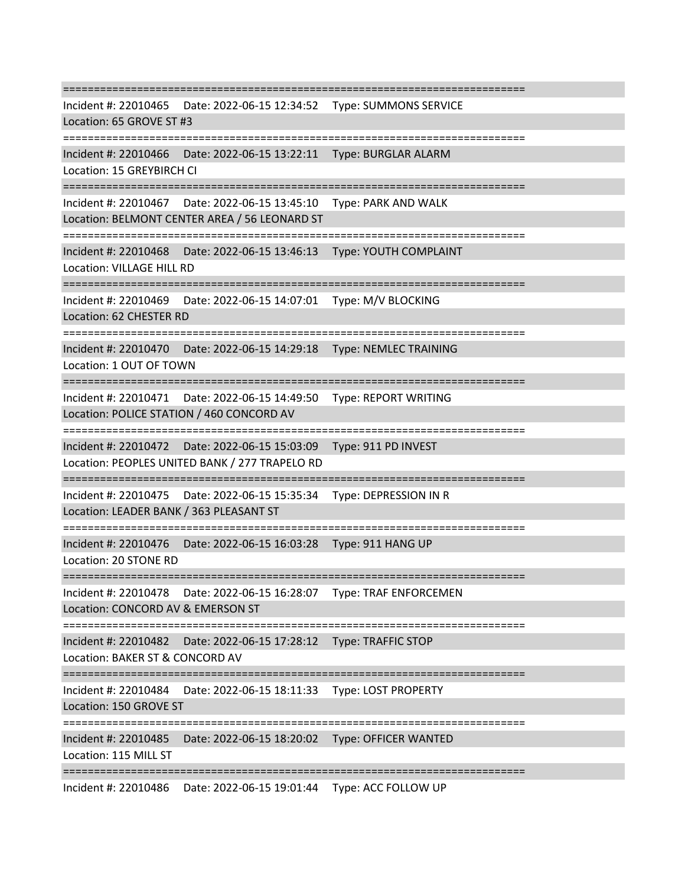=========================================================================== Incident #: 22010465 Date: 2022-06-15 12:34:52 Type: SUMMONS SERVICE Location: 65 GROVE ST #3 =========================================================================== Incident #: 22010466 Date: 2022-06-15 13:22:11 Type: BURGLAR ALARM Location: 15 GREYBIRCH CI =========================================================================== Incident #: 22010467 Date: 2022-06-15 13:45:10 Type: PARK AND WALK Location: BELMONT CENTER AREA / 56 LEONARD ST =========================================================================== Incident #: 22010468 Date: 2022-06-15 13:46:13 Type: YOUTH COMPLAINT Location: VILLAGE HILL RD =========================================================================== Incident #: 22010469 Date: 2022-06-15 14:07:01 Type: M/V BLOCKING Location: 62 CHESTER RD =========================================================================== Incident #: 22010470 Date: 2022-06-15 14:29:18 Type: NEMLEC TRAINING Location: 1 OUT OF TOWN =========================================================================== Incident #: 22010471 Date: 2022-06-15 14:49:50 Type: REPORT WRITING Location: POLICE STATION / 460 CONCORD AV =========================================================================== Incident #: 22010472 Date: 2022-06-15 15:03:09 Type: 911 PD INVEST Location: PEOPLES UNITED BANK / 277 TRAPELO RD =========================================================================== Incident #: 22010475 Date: 2022-06-15 15:35:34 Type: DEPRESSION IN R Location: LEADER BANK / 363 PLEASANT ST =========================================================================== Incident #: 22010476 Date: 2022-06-15 16:03:28 Type: 911 HANG UP Location: 20 STONE RD =========================================================================== Incident #: 22010478 Date: 2022-06-15 16:28:07 Type: TRAF ENFORCEMEN Location: CONCORD AV & EMERSON ST =========================================================================== Incident #: 22010482 Date: 2022-06-15 17:28:12 Type: TRAFFIC STOP Location: BAKER ST & CONCORD AV =========================================================================== Incident #: 22010484 Date: 2022-06-15 18:11:33 Type: LOST PROPERTY Location: 150 GROVE ST =========================================================================== Incident #: 22010485 Date: 2022-06-15 18:20:02 Type: OFFICER WANTED Location: 115 MILL ST ===========================================================================

Incident #: 22010486 Date: 2022-06-15 19:01:44 Type: ACC FOLLOW UP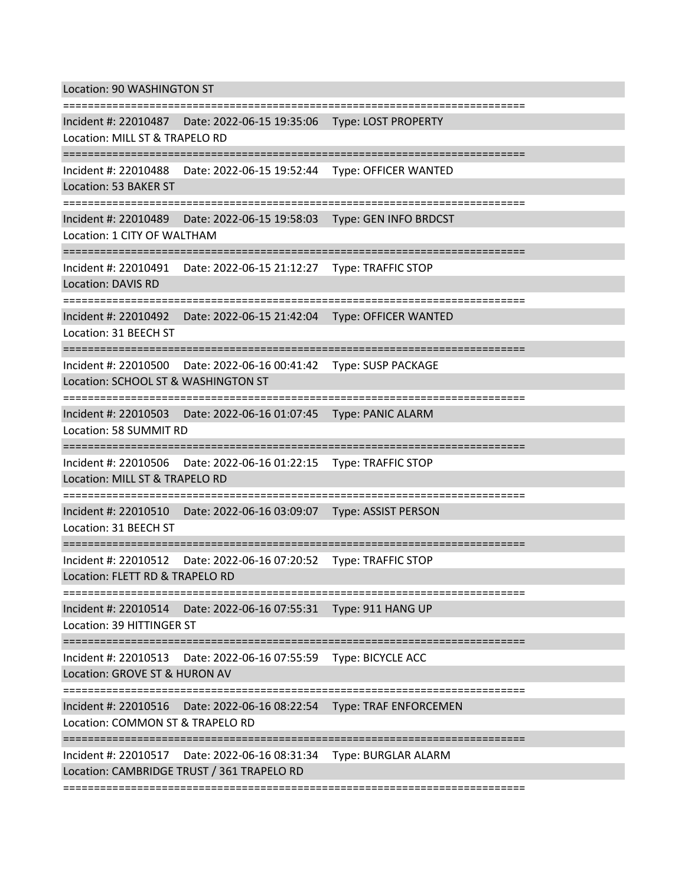Location: 90 WASHINGTON ST

=========================================================================== Incident #: 22010487 Date: 2022-06-15 19:35:06 Type: LOST PROPERTY Location: MILL ST & TRAPELO RD =========================================================================== Incident #: 22010488 Date: 2022-06-15 19:52:44 Type: OFFICER WANTED Location: 53 BAKER ST =========================================================================== Incident #: 22010489 Date: 2022-06-15 19:58:03 Type: GEN INFO BRDCST Location: 1 CITY OF WALTHAM =========================================================================== Incident #: 22010491 Date: 2022-06-15 21:12:27 Type: TRAFFIC STOP Location: DAVIS RD =========================================================================== Incident #: 22010492 Date: 2022-06-15 21:42:04 Type: OFFICER WANTED Location: 31 BEECH ST =========================================================================== Incident #: 22010500 Date: 2022-06-16 00:41:42 Type: SUSP PACKAGE Location: SCHOOL ST & WASHINGTON ST =========================================================================== Incident #: 22010503 Date: 2022-06-16 01:07:45 Type: PANIC ALARM Location: 58 SUMMIT RD =========================================================================== Incident #: 22010506 Date: 2022-06-16 01:22:15 Type: TRAFFIC STOP Location: MILL ST & TRAPELO RD =================================== Incident #: 22010510 Date: 2022-06-16 03:09:07 Type: ASSIST PERSON Location: 31 BEECH ST =========================================================================== Incident #: 22010512 Date: 2022-06-16 07:20:52 Type: TRAFFIC STOP Location: FLETT RD & TRAPELO RD =========================================================================== Incident #: 22010514 Date: 2022-06-16 07:55:31 Type: 911 HANG UP Location: 39 HITTINGER ST =========================================================================== Incident #: 22010513 Date: 2022-06-16 07:55:59 Type: BICYCLE ACC Location: GROVE ST & HURON AV =========================================================================== Incident #: 22010516 Date: 2022-06-16 08:22:54 Type: TRAF ENFORCEMEN Location: COMMON ST & TRAPELO RD =========================================================================== Incident #: 22010517 Date: 2022-06-16 08:31:34 Type: BURGLAR ALARM Location: CAMBRIDGE TRUST / 361 TRAPELO RD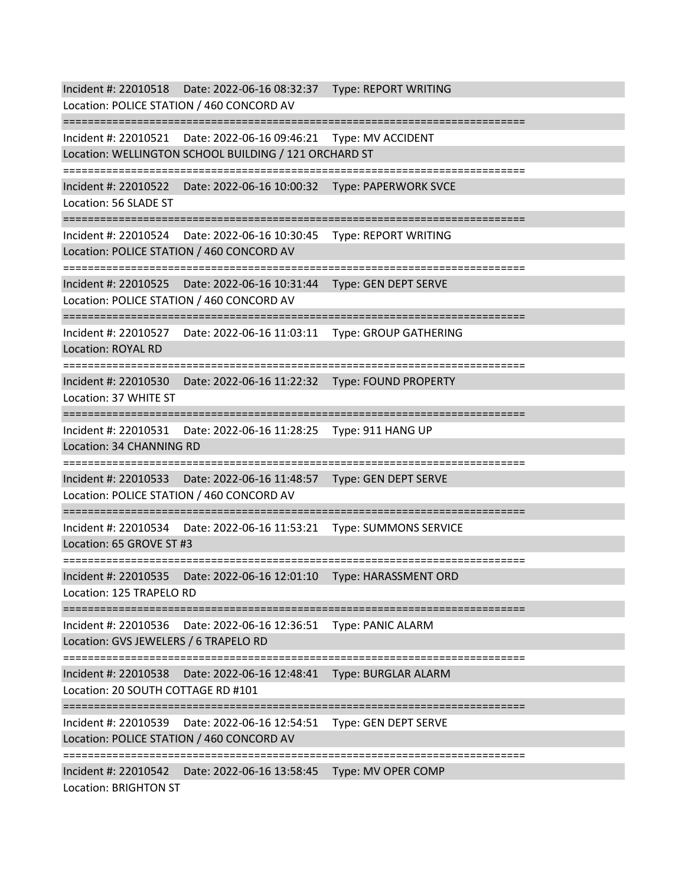Incident #: 22010518 Date: 2022-06-16 08:32:37 Type: REPORT WRITING Location: POLICE STATION / 460 CONCORD AV =========================================================================== Incident #: 22010521 Date: 2022-06-16 09:46:21 Type: MV ACCIDENT Location: WELLINGTON SCHOOL BUILDING / 121 ORCHARD ST =========================================================================== Incident #: 22010522 Date: 2022-06-16 10:00:32 Type: PAPERWORK SVCE Location: 56 SLADE ST =========================================================================== Incident #: 22010524 Date: 2022-06-16 10:30:45 Type: REPORT WRITING Location: POLICE STATION / 460 CONCORD AV =========================================================================== Incident #: 22010525 Date: 2022-06-16 10:31:44 Type: GEN DEPT SERVE Location: POLICE STATION / 460 CONCORD AV =========================================================================== Incident #: 22010527 Date: 2022-06-16 11:03:11 Type: GROUP GATHERING Location: ROYAL RD =========================================================================== Incident #: 22010530 Date: 2022-06-16 11:22:32 Type: FOUND PROPERTY Location: 37 WHITE ST =========================================================================== Incident #: 22010531 Date: 2022-06-16 11:28:25 Type: 911 HANG UP Location: 34 CHANNING RD =========================================================================== Incident #: 22010533 Date: 2022-06-16 11:48:57 Type: GEN DEPT SERVE Location: POLICE STATION / 460 CONCORD AV =========================================================================== Incident #: 22010534 Date: 2022-06-16 11:53:21 Type: SUMMONS SERVICE Location: 65 GROVE ST #3 ============================= Incident #: 22010535 Date: 2022-06-16 12:01:10 Type: HARASSMENT ORD Location: 125 TRAPELO RD =========================================================================== Incident #: 22010536 Date: 2022-06-16 12:36:51 Type: PANIC ALARM Location: GVS JEWELERS / 6 TRAPELO RD =========================================================================== Incident #: 22010538 Date: 2022-06-16 12:48:41 Type: BURGLAR ALARM Location: 20 SOUTH COTTAGE RD #101 =========================================================================== Incident #: 22010539 Date: 2022-06-16 12:54:51 Type: GEN DEPT SERVE Location: POLICE STATION / 460 CONCORD AV =========================================================================== Incident #: 22010542 Date: 2022-06-16 13:58:45 Type: MV OPER COMP Location: BRIGHTON ST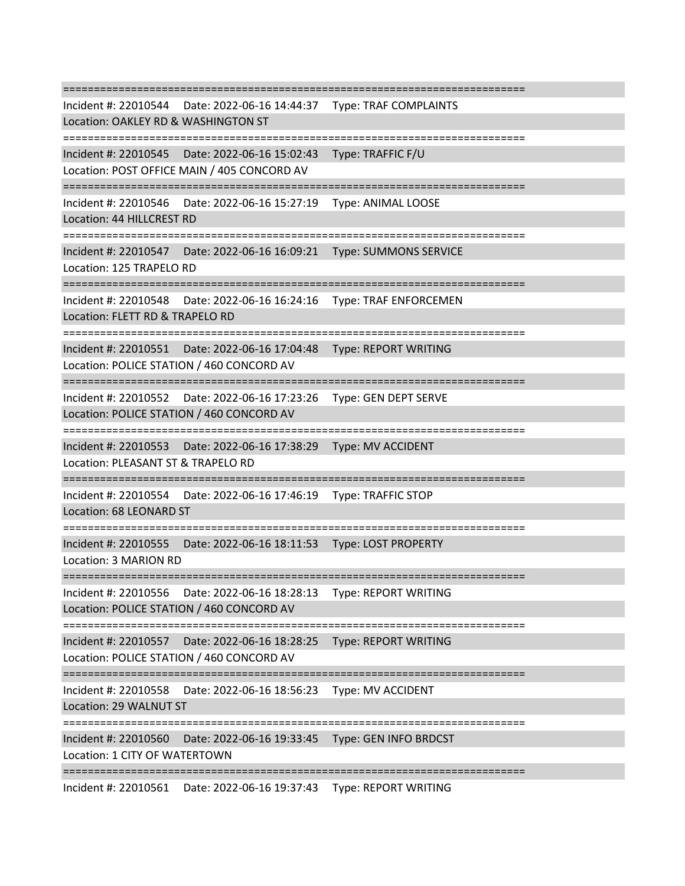=========================================================================== Incident #: 22010544 Date: 2022-06-16 14:44:37 Type: TRAF COMPLAINTS Location: OAKLEY RD & WASHINGTON ST =========================================================================== Incident #: 22010545 Date: 2022-06-16 15:02:43 Type: TRAFFIC F/U Location: POST OFFICE MAIN / 405 CONCORD AV =========================================================================== Incident #: 22010546 Date: 2022-06-16 15:27:19 Type: ANIMAL LOOSE Location: 44 HILLCREST RD =========================================================================== Incident #: 22010547 Date: 2022-06-16 16:09:21 Type: SUMMONS SERVICE Location: 125 TRAPELO RD =========================================================================== Incident #: 22010548 Date: 2022-06-16 16:24:16 Type: TRAF ENFORCEMEN Location: FLETT RD & TRAPELO RD =========================================================================== Incident #: 22010551 Date: 2022-06-16 17:04:48 Type: REPORT WRITING Location: POLICE STATION / 460 CONCORD AV =========================================================================== Incident #: 22010552 Date: 2022-06-16 17:23:26 Type: GEN DEPT SERVE Location: POLICE STATION / 460 CONCORD AV =========================================================================== Incident #: 22010553 Date: 2022-06-16 17:38:29 Type: MV ACCIDENT Location: PLEASANT ST & TRAPELO RD =========================================================================== Incident #: 22010554 Date: 2022-06-16 17:46:19 Type: TRAFFIC STOP Location: 68 LEONARD ST =========================================================================== Incident #: 22010555 Date: 2022-06-16 18:11:53 Type: LOST PROPERTY Location: 3 MARION RD =========================================================================== Incident #: 22010556 Date: 2022-06-16 18:28:13 Type: REPORT WRITING Location: POLICE STATION / 460 CONCORD AV =========================================================================== Incident #: 22010557 Date: 2022-06-16 18:28:25 Type: REPORT WRITING Location: POLICE STATION / 460 CONCORD AV =========================================================================== Incident #: 22010558 Date: 2022-06-16 18:56:23 Type: MV ACCIDENT Location: 29 WALNUT ST =========================================================================== Incident #: 22010560 Date: 2022-06-16 19:33:45 Type: GEN INFO BRDCST Location: 1 CITY OF WATERTOWN ===========================================================================

Incident #: 22010561 Date: 2022-06-16 19:37:43 Type: REPORT WRITING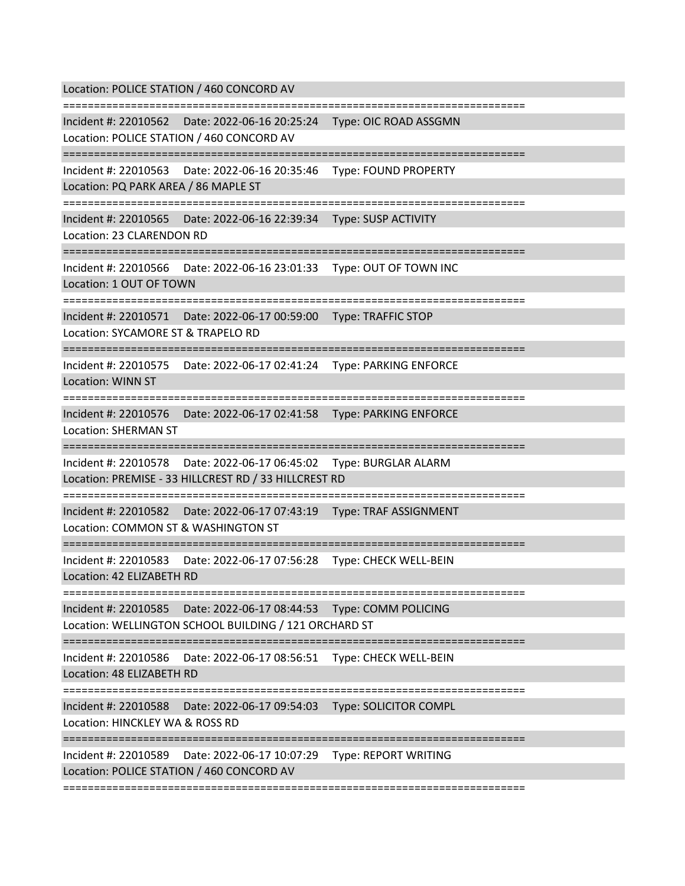Location: POLICE STATION / 460 CONCORD AV =========================================================================== Incident #: 22010562 Date: 2022-06-16 20:25:24 Type: OIC ROAD ASSGMN Location: POLICE STATION / 460 CONCORD AV =========================================================================== Incident #: 22010563 Date: 2022-06-16 20:35:46 Type: FOUND PROPERTY Location: PQ PARK AREA / 86 MAPLE ST =========================================================================== Incident #: 22010565 Date: 2022-06-16 22:39:34 Type: SUSP ACTIVITY Location: 23 CLARENDON RD =========================================================================== Incident #: 22010566 Date: 2022-06-16 23:01:33 Type: OUT OF TOWN INC Location: 1 OUT OF TOWN =========================================================================== Incident #: 22010571 Date: 2022-06-17 00:59:00 Type: TRAFFIC STOP Location: SYCAMORE ST & TRAPELO RD =========================================================================== Incident #: 22010575 Date: 2022-06-17 02:41:24 Type: PARKING ENFORCE Location: WINN ST =========================================================================== Incident #: 22010576 Date: 2022-06-17 02:41:58 Type: PARKING ENFORCE Location: SHERMAN ST =========================================================================== Incident #: 22010578 Date: 2022-06-17 06:45:02 Type: BURGLAR ALARM Location: PREMISE - 33 HILLCREST RD / 33 HILLCREST RD =========================================================================== Incident #: 22010582 Date: 2022-06-17 07:43:19 Type: TRAF ASSIGNMENT Location: COMMON ST & WASHINGTON ST =========================================================================== Incident #: 22010583 Date: 2022-06-17 07:56:28 Type: CHECK WELL-BEIN Location: 42 ELIZABETH RD =========================================================================== Incident #: 22010585 Date: 2022-06-17 08:44:53 Type: COMM POLICING Location: WELLINGTON SCHOOL BUILDING / 121 ORCHARD ST =========================================================================== Incident #: 22010586 Date: 2022-06-17 08:56:51 Type: CHECK WELL-BEIN Location: 48 ELIZABETH RD =========================================================================== Incident #: 22010588 Date: 2022-06-17 09:54:03 Type: SOLICITOR COMPL Location: HINCKLEY WA & ROSS RD =========================================================================== Incident #: 22010589 Date: 2022-06-17 10:07:29 Type: REPORT WRITING Location: POLICE STATION / 460 CONCORD AV ===========================================================================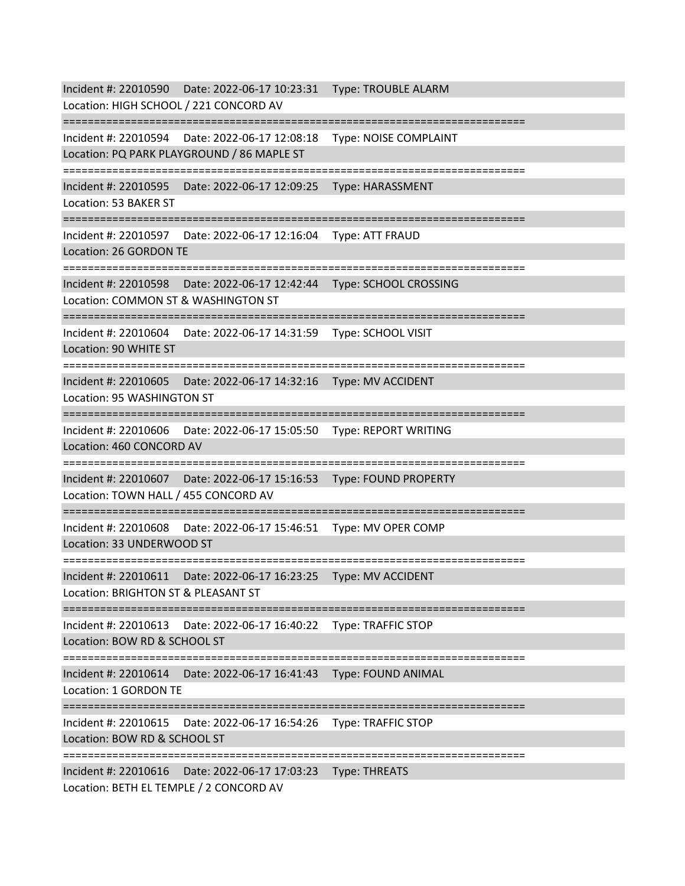Incident #: 22010590 Date: 2022-06-17 10:23:31 Type: TROUBLE ALARM Location: HIGH SCHOOL / 221 CONCORD AV =========================================================================== Incident #: 22010594 Date: 2022-06-17 12:08:18 Type: NOISE COMPLAINT Location: PQ PARK PLAYGROUND / 86 MAPLE ST =========================================================================== Incident #: 22010595 Date: 2022-06-17 12:09:25 Type: HARASSMENT Location: 53 BAKER ST =========================================================================== Incident #: 22010597 Date: 2022-06-17 12:16:04 Type: ATT FRAUD Location: 26 GORDON TE =========================================================================== Incident #: 22010598 Date: 2022-06-17 12:42:44 Type: SCHOOL CROSSING Location: COMMON ST & WASHINGTON ST =========================================================================== Incident #: 22010604 Date: 2022-06-17 14:31:59 Type: SCHOOL VISIT Location: 90 WHITE ST =========================================================================== Incident #: 22010605 Date: 2022-06-17 14:32:16 Type: MV ACCIDENT Location: 95 WASHINGTON ST =========================================================================== Incident #: 22010606 Date: 2022-06-17 15:05:50 Type: REPORT WRITING Location: 460 CONCORD AV =========================================================================== Incident #: 22010607 Date: 2022-06-17 15:16:53 Type: FOUND PROPERTY Location: TOWN HALL / 455 CONCORD AV =========================================================================== Incident #: 22010608 Date: 2022-06-17 15:46:51 Type: MV OPER COMP Location: 33 UNDERWOOD ST =========================================================================== Incident #: 22010611 Date: 2022-06-17 16:23:25 Type: MV ACCIDENT Location: BRIGHTON ST & PLEASANT ST =========================================================================== Incident #: 22010613 Date: 2022-06-17 16:40:22 Type: TRAFFIC STOP Location: BOW RD & SCHOOL ST =========================================================================== Incident #: 22010614 Date: 2022-06-17 16:41:43 Type: FOUND ANIMAL Location: 1 GORDON TE =========================================================================== Incident #: 22010615 Date: 2022-06-17 16:54:26 Type: TRAFFIC STOP Location: BOW RD & SCHOOL ST =========================================================================== Incident #: 22010616 Date: 2022-06-17 17:03:23 Type: THREATS Location: BETH EL TEMPLE / 2 CONCORD AV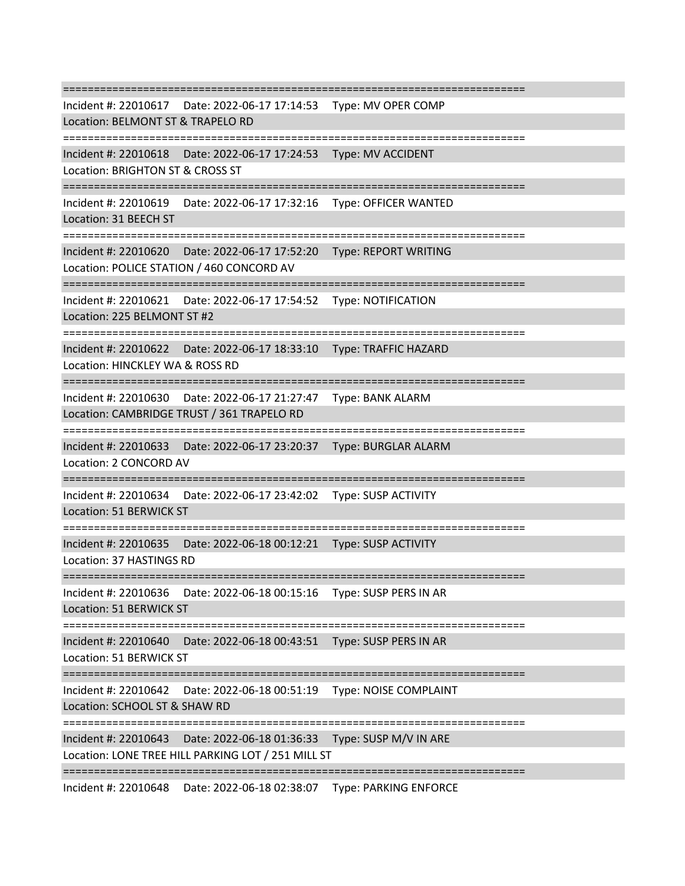=========================================================================== Incident #: 22010617 Date: 2022-06-17 17:14:53 Type: MV OPER COMP Location: BELMONT ST & TRAPELO RD =========================================================================== Incident #: 22010618 Date: 2022-06-17 17:24:53 Type: MV ACCIDENT Location: BRIGHTON ST & CROSS ST =========================================================================== Incident #: 22010619 Date: 2022-06-17 17:32:16 Type: OFFICER WANTED Location: 31 BEECH ST =========================================================================== Incident #: 22010620 Date: 2022-06-17 17:52:20 Type: REPORT WRITING Location: POLICE STATION / 460 CONCORD AV =========================================================================== Incident #: 22010621 Date: 2022-06-17 17:54:52 Type: NOTIFICATION Location: 225 BELMONT ST #2 =========================================================================== Incident #: 22010622 Date: 2022-06-17 18:33:10 Type: TRAFFIC HAZARD Location: HINCKLEY WA & ROSS RD =========================================================================== Incident #: 22010630 Date: 2022-06-17 21:27:47 Type: BANK ALARM Location: CAMBRIDGE TRUST / 361 TRAPELO RD =========================================================================== Incident #: 22010633 Date: 2022-06-17 23:20:37 Type: BURGLAR ALARM Location: 2 CONCORD AV =========================================================================== Incident #: 22010634 Date: 2022-06-17 23:42:02 Type: SUSP ACTIVITY Location: 51 BERWICK ST =========================================================================== Incident #: 22010635 Date: 2022-06-18 00:12:21 Type: SUSP ACTIVITY Location: 37 HASTINGS RD =========================================================================== Incident #: 22010636 Date: 2022-06-18 00:15:16 Type: SUSP PERS IN AR Location: 51 BERWICK ST =========================================================================== Incident #: 22010640 Date: 2022-06-18 00:43:51 Type: SUSP PERS IN AR Location: 51 BERWICK ST =========================================================================== Incident #: 22010642 Date: 2022-06-18 00:51:19 Type: NOISE COMPLAINT Location: SCHOOL ST & SHAW RD =========================================================================== Incident #: 22010643 Date: 2022-06-18 01:36:33 Type: SUSP M/V IN ARE Location: LONE TREE HILL PARKING LOT / 251 MILL ST ===========================================================================

Incident #: 22010648 Date: 2022-06-18 02:38:07 Type: PARKING ENFORCE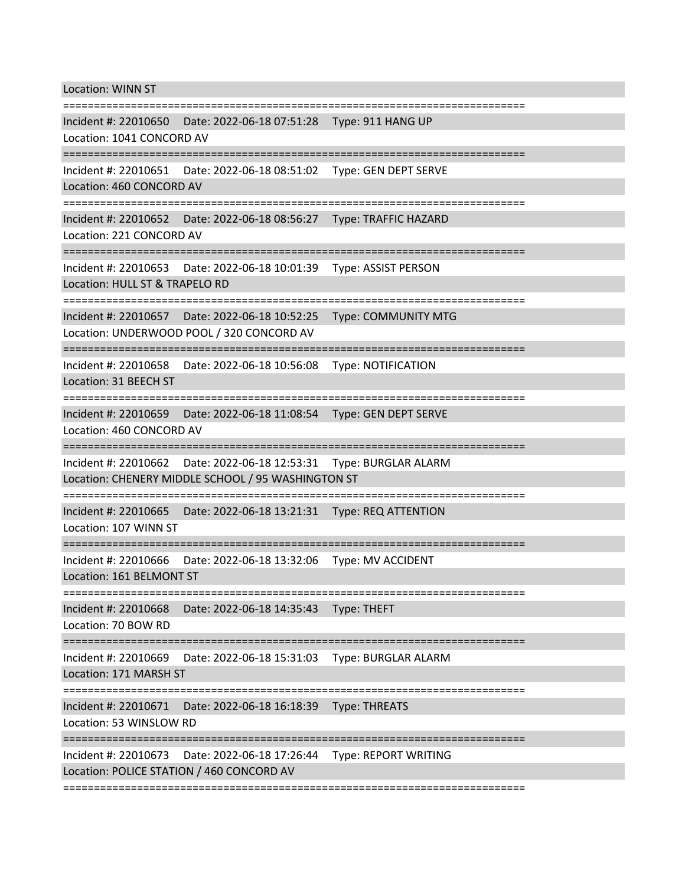Location: WINN ST

=========================================================================== Incident #: 22010650 Date: 2022-06-18 07:51:28 Type: 911 HANG UP Location: 1041 CONCORD AV =========================================================================== Incident #: 22010651 Date: 2022-06-18 08:51:02 Type: GEN DEPT SERVE Location: 460 CONCORD AV =========================================================================== Incident #: 22010652 Date: 2022-06-18 08:56:27 Type: TRAFFIC HAZARD Location: 221 CONCORD AV =========================================================================== Incident #: 22010653 Date: 2022-06-18 10:01:39 Type: ASSIST PERSON Location: HULL ST & TRAPELO RD =========================================================================== Incident #: 22010657 Date: 2022-06-18 10:52:25 Type: COMMUNITY MTG Location: UNDERWOOD POOL / 320 CONCORD AV =========================================================================== Incident #: 22010658 Date: 2022-06-18 10:56:08 Type: NOTIFICATION Location: 31 BEECH ST =========================================================================== Incident #: 22010659 Date: 2022-06-18 11:08:54 Type: GEN DEPT SERVE Location: 460 CONCORD AV =========================================================================== Incident #: 22010662 Date: 2022-06-18 12:53:31 Type: BURGLAR ALARM Location: CHENERY MIDDLE SCHOOL / 95 WASHINGTON ST =========================================================================== Incident #: 22010665 Date: 2022-06-18 13:21:31 Type: REQ ATTENTION Location: 107 WINN ST =========================================================================== Incident #: 22010666 Date: 2022-06-18 13:32:06 Type: MV ACCIDENT Location: 161 BELMONT ST =========================================================================== Incident #: 22010668 Date: 2022-06-18 14:35:43 Type: THEFT Location: 70 BOW RD =========================================================================== Incident #: 22010669 Date: 2022-06-18 15:31:03 Type: BURGLAR ALARM Location: 171 MARSH ST =========================================================================== Incident #: 22010671 Date: 2022-06-18 16:18:39 Type: THREATS Location: 53 WINSLOW RD =========================================================================== Incident #: 22010673 Date: 2022-06-18 17:26:44 Type: REPORT WRITING Location: POLICE STATION / 460 CONCORD AV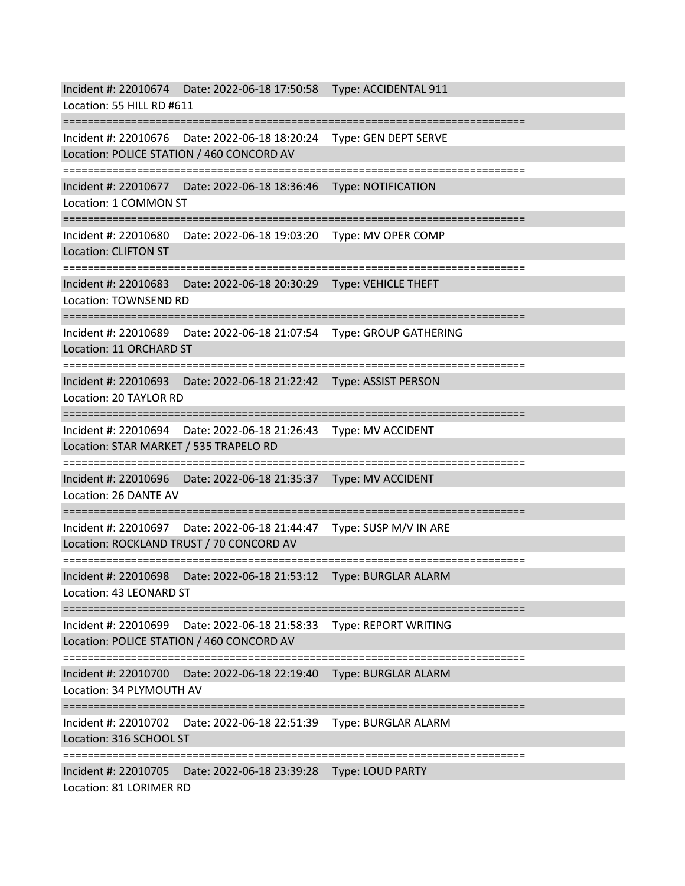Incident #: 22010674 Date: 2022-06-18 17:50:58 Type: ACCIDENTAL 911 Location: 55 HILL RD #611 =========================================================================== Incident #: 22010676 Date: 2022-06-18 18:20:24 Type: GEN DEPT SERVE Location: POLICE STATION / 460 CONCORD AV =========================================================================== Incident #: 22010677 Date: 2022-06-18 18:36:46 Type: NOTIFICATION Location: 1 COMMON ST =========================================================================== Incident #: 22010680 Date: 2022-06-18 19:03:20 Type: MV OPER COMP Location: CLIFTON ST =========================================================================== Incident #: 22010683 Date: 2022-06-18 20:30:29 Type: VEHICLE THEFT Location: TOWNSEND RD =========================================================================== Incident #: 22010689 Date: 2022-06-18 21:07:54 Type: GROUP GATHERING Location: 11 ORCHARD ST =========================================================================== Incident #: 22010693 Date: 2022-06-18 21:22:42 Type: ASSIST PERSON Location: 20 TAYLOR RD =========================================================================== Incident #: 22010694 Date: 2022-06-18 21:26:43 Type: MV ACCIDENT Location: STAR MARKET / 535 TRAPELO RD =========================================================================== Incident #: 22010696 Date: 2022-06-18 21:35:37 Type: MV ACCIDENT Location: 26 DANTE AV =========================================================================== Incident #: 22010697 Date: 2022-06-18 21:44:47 Type: SUSP M/V IN ARE Location: ROCKLAND TRUST / 70 CONCORD AV =========================================================================== Incident #: 22010698 Date: 2022-06-18 21:53:12 Type: BURGLAR ALARM Location: 43 LEONARD ST =========================================================================== Incident #: 22010699 Date: 2022-06-18 21:58:33 Type: REPORT WRITING Location: POLICE STATION / 460 CONCORD AV =========================================================================== Incident #: 22010700 Date: 2022-06-18 22:19:40 Type: BURGLAR ALARM Location: 34 PLYMOUTH AV =========================================================================== Incident #: 22010702 Date: 2022-06-18 22:51:39 Type: BURGLAR ALARM Location: 316 SCHOOL ST =========================================================================== Incident #: 22010705 Date: 2022-06-18 23:39:28 Type: LOUD PARTY Location: 81 LORIMER RD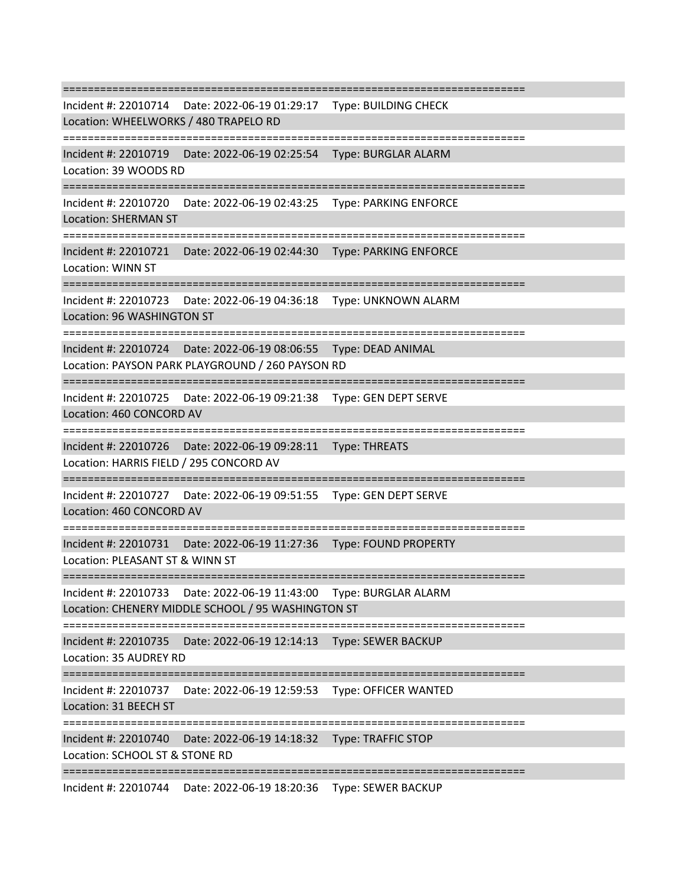=========================================================================== Incident #: 22010714 Date: 2022-06-19 01:29:17 Type: BUILDING CHECK Location: WHEELWORKS / 480 TRAPELO RD =========================================================================== Incident #: 22010719 Date: 2022-06-19 02:25:54 Type: BURGLAR ALARM Location: 39 WOODS RD =========================================================================== Incident #: 22010720 Date: 2022-06-19 02:43:25 Type: PARKING ENFORCE Location: SHERMAN ST =========================================================================== Incident #: 22010721 Date: 2022-06-19 02:44:30 Type: PARKING ENFORCE Location: WINN ST =========================================================================== Incident #: 22010723 Date: 2022-06-19 04:36:18 Type: UNKNOWN ALARM Location: 96 WASHINGTON ST =========================================================================== Incident #: 22010724 Date: 2022-06-19 08:06:55 Type: DEAD ANIMAL Location: PAYSON PARK PLAYGROUND / 260 PAYSON RD =========================================================================== Incident #: 22010725 Date: 2022-06-19 09:21:38 Type: GEN DEPT SERVE Location: 460 CONCORD AV =========================================================================== Incident #: 22010726 Date: 2022-06-19 09:28:11 Type: THREATS Location: HARRIS FIELD / 295 CONCORD AV =========================================================================== Incident #: 22010727 Date: 2022-06-19 09:51:55 Type: GEN DEPT SERVE Location: 460 CONCORD AV =========================================================================== Incident #: 22010731 Date: 2022-06-19 11:27:36 Type: FOUND PROPERTY Location: PLEASANT ST & WINN ST =========================================================================== Incident #: 22010733 Date: 2022-06-19 11:43:00 Type: BURGLAR ALARM Location: CHENERY MIDDLE SCHOOL / 95 WASHINGTON ST =========================================================================== Incident #: 22010735 Date: 2022-06-19 12:14:13 Type: SEWER BACKUP Location: 35 AUDREY RD =========================================================================== Incident #: 22010737 Date: 2022-06-19 12:59:53 Type: OFFICER WANTED Location: 31 BEECH ST =========================================================================== Incident #: 22010740 Date: 2022-06-19 14:18:32 Type: TRAFFIC STOP Location: SCHOOL ST & STONE RD ===========================================================================

Incident #: 22010744 Date: 2022-06-19 18:20:36 Type: SEWER BACKUP